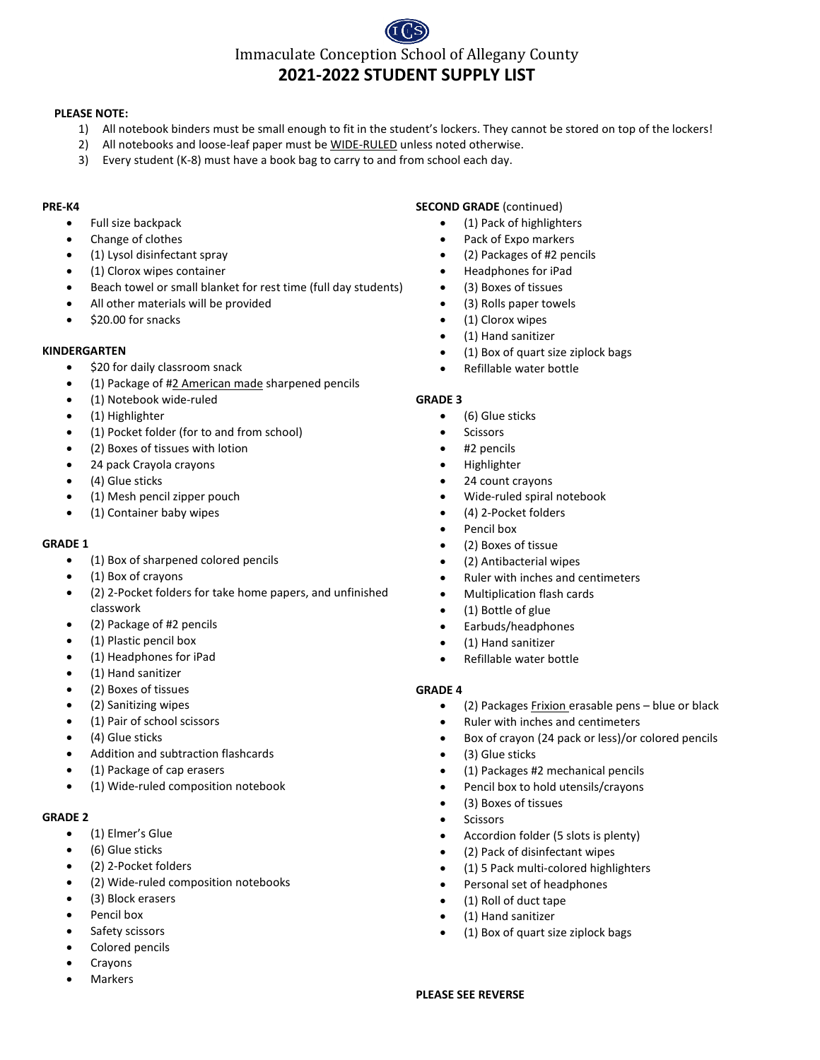# Immaculate Conception School of Allegany County **2021-2022 STUDENT SUPPLY LIST**

#### **PLEASE NOTE:**

- 1) All notebook binders must be small enough to fit in the student's lockers. They cannot be stored on top of the lockers!
- 2) All notebooks and loose-leaf paper must be WIDE-RULED unless noted otherwise.
- 3) Every student (K-8) must have a book bag to carry to and from school each day.

#### **PRE-K4**

- Full size backpack
- Change of clothes
- (1) Lysol disinfectant spray
- (1) Clorox wipes container
- Beach towel or small blanket for rest time (full day students)
- All other materials will be provided
- \$20.00 for snacks

#### **KINDERGARTEN**

- \$20 for daily classroom snack
- (1) Package of #2 American made sharpened pencils
- (1) Notebook wide-ruled
- (1) Highlighter
- (1) Pocket folder (for to and from school)
- (2) Boxes of tissues with lotion
- 24 pack Crayola crayons
- (4) Glue sticks
- (1) Mesh pencil zipper pouch
- (1) Container baby wipes

#### **GRADE 1**

- (1) Box of sharpened colored pencils
- (1) Box of crayons
- (2) 2-Pocket folders for take home papers, and unfinished classwork
- (2) Package of #2 pencils
- (1) Plastic pencil box
- (1) Headphones for iPad
- (1) Hand sanitizer
- (2) Boxes of tissues
- (2) Sanitizing wipes
- (1) Pair of school scissors
- (4) Glue sticks
- Addition and subtraction flashcards
- (1) Package of cap erasers
- (1) Wide-ruled composition notebook

# **GRADE 2**

- (1) Elmer's Glue
- (6) Glue sticks
- (2) 2-Pocket folders
- (2) Wide-ruled composition notebooks
- (3) Block erasers
- Pencil box
- Safety scissors
- Colored pencils
- Crayons
- Markers

#### **SECOND GRADE** (continued)

- (1) Pack of highlighters
- Pack of Expo markers
- (2) Packages of #2 pencils
- Headphones for iPad
- (3) Boxes of tissues
- (3) Rolls paper towels
- (1) Clorox wipes
- (1) Hand sanitizer
- (1) Box of quart size ziplock bags
- Refillable water bottle

#### **GRADE 3**

- (6) Glue sticks
- **Scissors** 
	- #2 pencils
	- Highlighter
	- 24 count crayons
	- Wide-ruled spiral notebook
	- (4) 2-Pocket folders
	- Pencil box
	- (2) Boxes of tissue
	- (2) Antibacterial wipes
	- Ruler with inches and centimeters
	- Multiplication flash cards
	- (1) Bottle of glue
	- Earbuds/headphones
	- (1) Hand sanitizer
	- Refillable water bottle

#### **GRADE 4**

- (2) Packages Frixion erasable pens blue or black
- Ruler with inches and centimeters
- Box of crayon (24 pack or less)/or colored pencils
- (3) Glue sticks
- (1) Packages #2 mechanical pencils
- Pencil box to hold utensils/crayons
- (3) Boxes of tissues
- Scissors
- Accordion folder (5 slots is plenty)
- (2) Pack of disinfectant wipes
- (1) 5 Pack multi-colored highlighters
- Personal set of headphones
- (1) Roll of duct tape
- (1) Hand sanitizer
- (1) Box of quart size ziplock bags